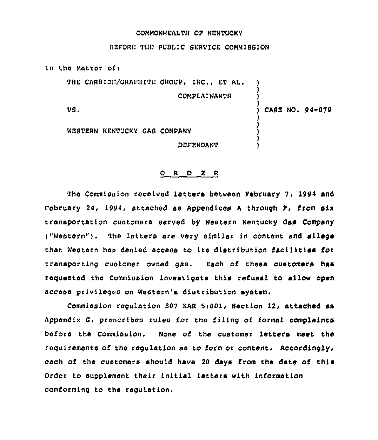## COMMONWEALTH OF KENTUCKY

BEFORE THE PUBLIC SERVICE COMMISSION

In the Matter ofi THE CARBIDE/GRAPHITE GROUP, INC., ET AL. ) ) COMPLAINANTS ) ) VS. CASE NO. 94-079 ) ) WEBTERN KENTUCKY GAB COMPANY ) ) OEFENOANT )

## 0 <sup>R</sup> 0 E <sup>R</sup>

The Commission received letters between February 7, 1994 and February 24, 1994, attached as Appendices <sup>A</sup> through F, from six transportation customers served by Western Kentucky Gas Company ("Western"). The letters are very similar in content and allege that Western has denied access to its distribution facilities for transporting customer owned gas. Each of these customers has requested the Commission investigate this refusal to allow open access privileges on Western's distribution system.

Commission regulation 807 KAR 5:001, Section 12, attached as Appondix G, prescribes rules for the filing of formal complaints before the Commission. None of the customer letters meet the requirements of the regulation as to form or content. Accordingly, each of the customers should have 20 days from the date of this Order to supplement their initial letters with information conforming to the regulation.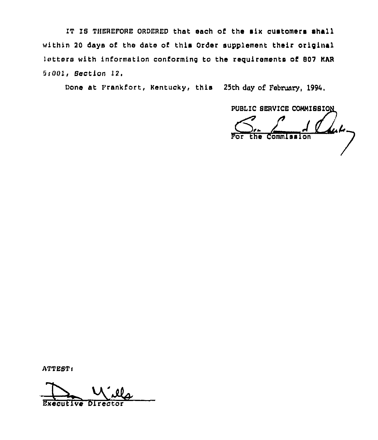IT IS THEREFQRE DRDERED that eaoh of the eix customers shall within 20 days of the date of this Order supplement their original letters with information conforming to the requirements of 807 KAR SiOOI, Section 12.

Done at Frankfort, Rentucky, this 25th day of. February, 1994,

PUBLIC SERVICE COMMISSION

\* the Commission

ATTEST:

Executive Director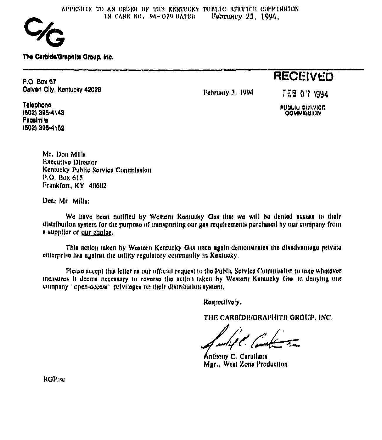

The Carbide/Graphite Group, Inc.

**P.O. Box 67** Calvert City, Kentucky 42029

Pebruary 3, 1994

FEB 07 1994

**RECEIVED** 

Telephone (502) 395-4143 Facalmile (502) 395-4152

**PUBLIC BERVICE** 

Mr. Don Mills **Executive Director** Kontucky Public Service Commitation P.O. Box 615 Frankfort, KY 40602

Dear Mr. Mills:

We have been notified by Western Kentucky Gas that we will be denied access to their distribution system for the purpose of transporting our gas requirements purchased by our company from a supplier of our choice.

This action taken by Western Kentucky Gas once again demonstrates the disadvantage private enterprise has against the utility regulatory community in Kentucky.

Please accept this letter as our official request to the Public Service Commission to take whatever measures it deems necessary to reverse the action taken by Western Kentucky Clas in denying our company "open-access" privileges on their distribution system.

Respectively,

THE CARBIDE/ORAPHITE GROUP, INC.

Anthony C. Caruthers Mgr., West Zone Production

RGP:sc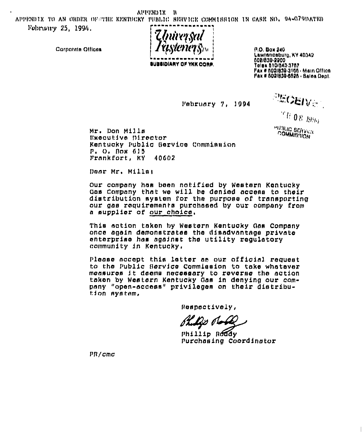APPENDIX ĸ

APPENDIX TO AN ORDER OF THE KENTHORY PUBLIC BERVICK COMMIRRION IN CARE NO. 94-079DATED February 25, 1994.

*Thúrrsai* **BUBBIDIARY OF YKK CORP.** 

P.O. Box 240 Lawrenceburg, KY 40342 002/839-2200 Telek 010/043-3767 Pax # 502/839-3166 - Main Office Pax # 802/839-6526 - Balon Dopt.

February 7, 1994

**PEOEIVER THO8 1956 PUSILIG BETIVICA**<br>COMMIBITION

Mr. Don Mills Executive Director Kentucky Public Gervice Commission P. O. Box 615 Frankfort, KY 40602

Doar Mr. Milla!

Cornorate Offices

Our company has been notified by Western Kentucky Gas Company that we will be denied access to their distribution system for the purpose of transporting our gas requirements purchased by our company from a supplier of our choice.

This action taken by Western Kentucky Gas Company once again demonstrates the disadvantage private enterprise has against the utility regulatory community in Kentucky.

Please accept this letter as our official request to the Public Service Commission to take whatever measures it deems necessary to reverse the action taken by Western Kentucky Gas in denying our company "open-access" privileges on their distribution system.

Respectively,

Shills dob

Phillip Roddy Purchasing Coordinator

PR/cmc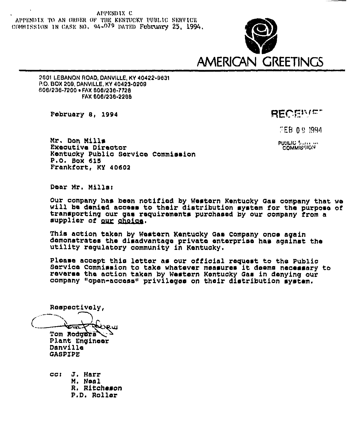APPENDIX C APPENDIX TO AN ORDER OF THE KENTUCKY PUBLIC SERVICK COMMISSION IN CASE NO. 94-079 DATED February 25, 1994.



2601 LEBANON ROAD, DANVILLE, KY 40422-9031 P.O. BOX 209, DANVILLE, KY 40423-0209 606/236-7200 . FAX 606/236-7728 FAX 606/238-2288

February 8, 1994

RECENTST

FEB 0.9.1994.

**PUSLIC Surround COMMIS** HON

Mr. Don Mills Executive Director Kentucky Public Service Commission P.O. Box 615 Frankfort, KY 40602

Dear Mr. Mills:

Our company has been notified by Western Kentucky Gas company that we will be denied access to their distribution system for the purpose of transporting our gas requirements purchased by our company from a supplier of our choice.

This action taken by Western Kentucky Gas Company once again demonstrates the disadvantage private enterprise has against the utility regulatory community in Kentucky.

Please accept this letter as our official request to the Public Service Commission to take whatever measures it deems necessary to reverse the action taken by Western Kentucky Gas in denying our company "open-access" privileges on their distribution system.

Respectively, KYPUL **Tom Reducts** 

Plant Engineer Danville **GASPIPE** 

 $CCI$ J. Harr M. Neal R. Ritcheson P.D. Roller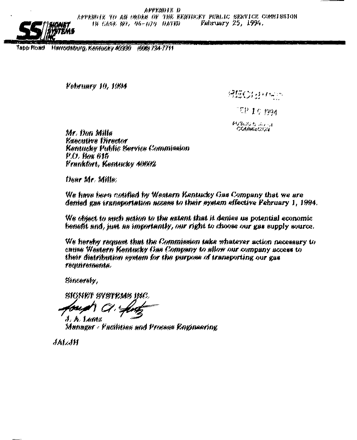APPENDIX D

APPENDIX TO AN ORDER OF THE KENTUCKY PUBLIC SERVICE COMMISSION February 25, 1994, IN CASE NO, 04-070 DATED



Harrodsburg, Kentucky 40930 (506) 734-7711 Tapp Road.

February 10, 1994

例伝のおりや

 $\mathbb{E}\mathrm{P}$  1.0 may

PUBLIC'S AVEL **COMMICS** ON

Mr. Don Mille **Executive Director** Kentucky Public Service Commission P.O. Box 615 Frankfort, Kentucky 40602

Denr Mr. Mille:

We have been cotified by Western Kentucky Gas Company that we are denied gas transportation access to their system effective February 1, 1994.

We object to such action to the extent that it denies us potential economic benefit and, just as importantly, our right to choose our gas supply source.

We hereby request that the Commission take shatever action necessary to cause Western Kentucky Gas Company to allow our company access to their distribution system for the purpose of transporting our gas feathfements.

Sincerely,

sionf/f systems inc.

 $J. A.$  Lent $\mu$ Manager - Facilities and Process Engineering

**JALJH**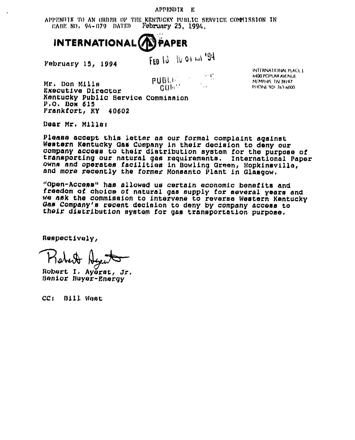APPENDIX E

APPENDIX TO AN ORDER OF THE KENTUCKY PUBLIC SERVICE COMMISSION IN CABE NO. 94-079 DATED February  $25, 1994,$ 



February 15, 1994

FEB 10 10 04 ml 194

 $\psi(\Gamma)$ **PUBLE**  $C$   $U$   $H$   $V$ 

INTERNATIONAL PLACE | 6400 POPLAR AVENUE MEMPHIS 7N 18197 **PHONE 901 763-6000** 

Mr. Don Mills Executive Director Kentucky Public Service Commission  $P, Q$ , Box  $615$ Frankfort, KY 40602

Dear Mr. Millar

Please accept this letter as our formal complaint against Western Kentucky Gas Company in their decision to deny our company access to their distribution system for the purpose of transporting our natural gas requirements. International Paper owns and operates facilities in Bowling Green, Hopkinsville, and more recently the former Monsanto Plant in Glasgow.

"Open-Access" has allowed us certain economic benefits and freedom of choice of natural gas supply for several years and we ask the commission to intervene to reverse Western Kentucky Gas Company's recent decision to deny by company access to their distribution system for gas transportation purpose.

Respectively,

Robert I. Ayerst, Jr. Senior Buyer-Energy

CC: Bill Wast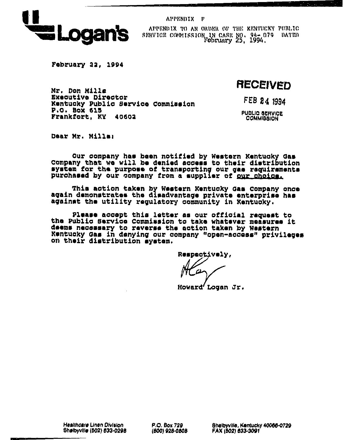

APPENDIX F

APPENDIX TO AN ORDER OF THE KENTUCKY PUBLIC SERVICE COMMISSION IN CASE NO. 94-079 DATED

February 22, 1994

**RECEIVED** 

Mr. Don Milla Executive Director Kentucky Public Service Commission P.O. Box 615 Frankfort. KY 40602

FEB 24 1994

**PUBLIC SERVICE** COMMISSION

Dear Mr. Mills:

Our company has been notified by Western Kentucky Gas<br>Company that we will be denied access to their distribution system for the purpose of transporting our gas requirements purchased by our company from a supplier of our choics.

This action taken by Western Kentucky Gas Company once again demonstrates the disadvantage private enterprise has against the utility requlatory community in Kentucky.

Please accept this letter as our official request to the Public Service Commission to take whatever measures it deems necessary to reverse the action taken by Western Kentucky Gas in denying our company "open-access" privileges on their distribution system.

Respectively,

Howard'Logan Jr.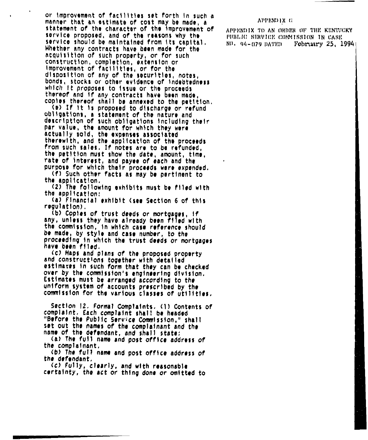or improvement of facilities set forth in such a manner that an estimate of cost may be made, a statement of the character of the improvement of service proposed, and of the reasons why the service should be maintained from its capital. Whether any contracts have been made for the acquisition of such property, or for such construction, completion, extension or Improvement of facilities, or for the dlsposltlon of any of the securities, notes, bonds, stocks or other evidence of indebtedness<br>which it proposes to issue or the proceeds thereof and if any contracts have been made.

copies thereof shall be annexed to the petition.<br>(e) If it is proposed to discharge or refund obligations, <sup>a</sup> statement of the nature and description of such obligations including their par value, the amount for which they were actually sold, the expenses associated therewith, and the application of the proceeds from such sales, If notes are to be refunded, the petition must show the date, amount, time, rate of Interest, and payee of each and the purpose for which their proceeds were expended.<br>(f) Such other facts as may be pertinent to

the application,

<2) The fo'(lowing exhlblts must be flied with the application:

Financial exhibit <see Section 6 of this regulation),

 $(b)$  Copies of trust deeds or mortgages, if any, unless they have already been filed with the commission, In which case reference should be made, by style and case number, to the roceedlng ln which the trust deeds or mortgages ave been filed.

(c) Maps and plans of the proposed property and constructions together with detailed estimaces ln such form that they can be checked over by the commission's engineering division, Est(mates must be arranged according to the uniform system of accounts prescribed by the commission for the various classes of utilities.

Section 12, Formal Complaints, (1) Contents of complaint, Each complaint shall be headed "Before the Public Service Commission," shall set out the names of the complainant and the<br>name of the defendant, and shall state:

(a) The full name and post office address of the complainant,

(b) The full name and post office address of the defendant,

(c) Fully, clearly, and with reasonable certainty, the act or thing done or omitted to

## APPENDIX G

APPENDIX TO AN ORDER OF THE KENTUCKY PUBLIC SERVICE COMMISSION IN CASE<br>NO. 94-079 DATED February 25, 1 February 25, 19941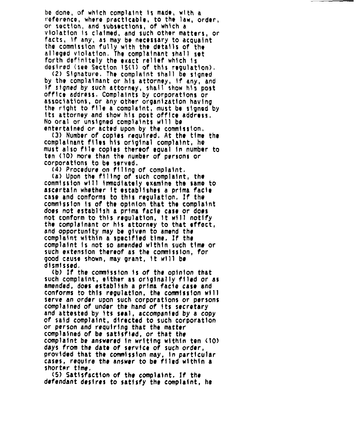be done, of which complaint is made, with a referenco, where practicable, to tho law, order, or section, and subsections, of which a violation ts claimed, and such other matters, or I'acts, if any, as may be necessary to acquaint the commission fully with the details of the alleged vtolatlon, The complainant shall aet forth det'tnttely the exact relief which ts desired (tee Section 15<1) of this regulation).

(2) Signature, The complaint shall be signed by the complainant or his attorney, if any, and If signed by such attorney, shall show his post<br>office address. Complaints by corporations or associations, or any other organization having the right to file <sup>a</sup> complaint, must be signed by its attorney and show his post office address. No oral or unsigned comp)alnts will bo entertained or acted upon by the commission,

(3) Number of'opies required. At the time the complainant flies his original complaint, ho must also file copies thereof equal ln number to ten <sup>&</sup>lt; 10) more than the number of persons or corporations to be served.

(4) Procedure on filing of complaint,

(a) Upon the filling of such complaint, the commission will immediately examine the same to ascertain whether lt establishes <sup>a</sup> prima facie case and conforms to this regulation. If the commission ts of the optnlon that the complaint does not establish a prima facie case or does not conform to this regulation, It will notify the complainant or his attorney to that effect, and opportunity may be given to amend the complaint within a specified time. If the complaint ts not so amended within such time or such extension thereof as the commission, for good cause shown, may grant, lt will be dismissed,

(b) If the commission is of the opinion that such complaint, either as originally filed or as amended, does establish a prima facie case and conforms to this regulation, the commission will serve an order upon such corporations or persons complained of under the hand of its secretary and attested by Its seal, accompanied by a copy of said complaint, directed to such corporation or person and requiring that the matter complained of be satisfied, or that the complaint be answered In writing within ten <10) days from the date of service of such order, provided that the commission may, in particular cases, require the answer to be filed within a shorter time,

(5) Satisfaction of the complaint. )f the defendant desires to satisfy the complaint, ho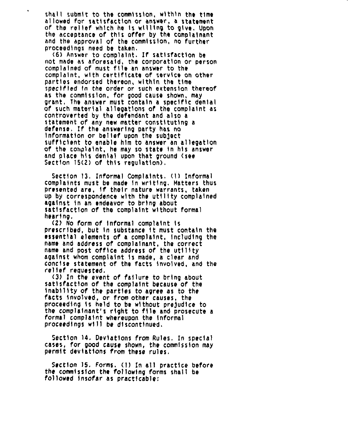shall submit to the commission, within the time<br>allowed for satisfaction or answer, a statement of the relief which he is willing to give. Upon the acceptance of this offer by the complainant and the approval of the commission, no further proceedings need be taken,

(6) Answer to complaint, Lf satisfaction be not made as af'oresaid, the corporation or person complained of must file an answer to the complaint, with certificate of service on other parties endorsed thereon, within the time specified In the order or such extension thereof ns the commission, for good cause shown, may grant, The answer must contain a specific denial<br>of such material allegations of the complaint as cont'roverted by the defendant and also a statement of any new matter constituting a defense, lf the answering party has no information or belief upon the subject<br>sufficient to enable him to answer an allegation of the complaint, he may so state in his answer and place his denial upon that ground (see Section 15(2) of this regulation),

Section 13, Informal Complaints. (I) Informal complaints must be made in writing. Matters thus presented are, lf their nature warrants, taken up by correspondence with the utility complained against ln an endeavor to bring about satisfaction of the complaint without formal hearing,

(2) No form of informal complaint is prescribed, but in substance lt must contain the essential elements of a complaint, including the name and address of complainant, the correct name and post office address of the utility against whom complaint is made, a clear and concise statement of the facts involved, and the rellel'eauested,

(3) In the event of failure to bring about satisfaction of the complaint because of the Inablllty of the parties to agree as to the facts involved, or from other causes, the proceeding is held to be without prejudice to the complainant's right to file and prosecute <sup>a</sup> formal complaint whereupon the Informal proceedings will be discontinued,

Section 14, Deviations from Rules, Ln special cases, for good cause shown, the commission may permit deviations from these rules,

Section 15, Forms, ( I) In all practice before the commission the following forms shall be followed insofar as practicable: